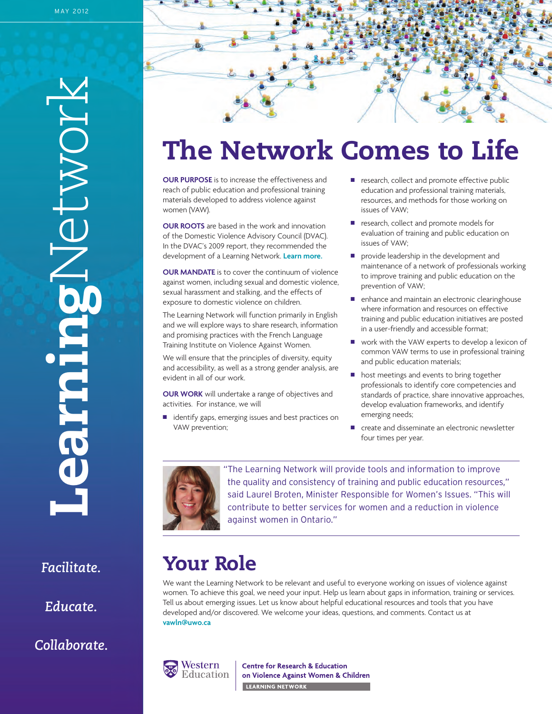**Learning** Network

*Facilitate.*

*Educate.*

*Collaborate.*

# **The Network Comes to Life**

**OUR PURPOSE** is to increase the effectiveness and reach of public education and professional training materials developed to address violence against women (VAW).

**OUR ROOTS** are based in the work and innovation of the Domestic Violence Advisory Council (DVAC). In the DVAC's 2009 report, they recommended the development of a Learning Network. **[Learn more.](http://www.women.gov.on.ca/owd_new/english/resources/publications/dvac/dvac_report.pdf)**

**OUR MANDATE** is to cover the continuum of violence against women, including sexual and domestic violence, sexual harassment and stalking, and the effects of exposure to domestic violence on children.

The Learning Network will function primarily in English and we will explore ways to share research, information and promising practices with the French Language Training Institute on Violence Against Women.

We will ensure that the principles of diversity, equity and accessibility, as well as a strong gender analysis, are evident in all of our work.

**OUR WORK** will undertake a range of objectives and activities. For instance, we will

■ identify gaps, emerging issues and best practices on VAW prevention;

- e research, collect and promote effective public education and professional training materials, resources, and methods for those working on issues of VAW;
- research, collect and promote models for evaluation of training and public education on issues of VAW;
- **n** provide leadership in the development and maintenance of a network of professionals working to improve training and public education on the prevention of VAW;
- n enhance and maintain an electronic clearinghouse where information and resources on effective training and public education initiatives are posted in a user-friendly and accessible format;
- work with the VAW experts to develop a lexicon of common VAW terms to use in professional training and public education materials;
- n host meetings and events to bring together professionals to identify core competencies and standards of practice, share innovative approaches, develop evaluation frameworks, and identify emerging needs;
- create and disseminate an electronic newsletter four times per year.



"The Learning Network will provide tools and information to improve the quality and consistency of training and public education resources," said Laurel Broten, Minister Responsible for Women's Issues. "This will contribute to better services for women and a reduction in violence against women in Ontario."

# **Your Role**

We want the Learning Network to be relevant and useful to everyone working on issues of violence against women. To achieve this goal, we need your input. Help us learn about gaps in information, training or services. Tell us about emerging issues. Let us know about helpful educational resources and tools that you have developed and/or discovered. We welcome your ideas, questions, and comments. Contact us at **vawln@uwo.ca**



**Centre for Research & Education** on Violence Against Women & Children **LEARNING NETWORK Example 2014**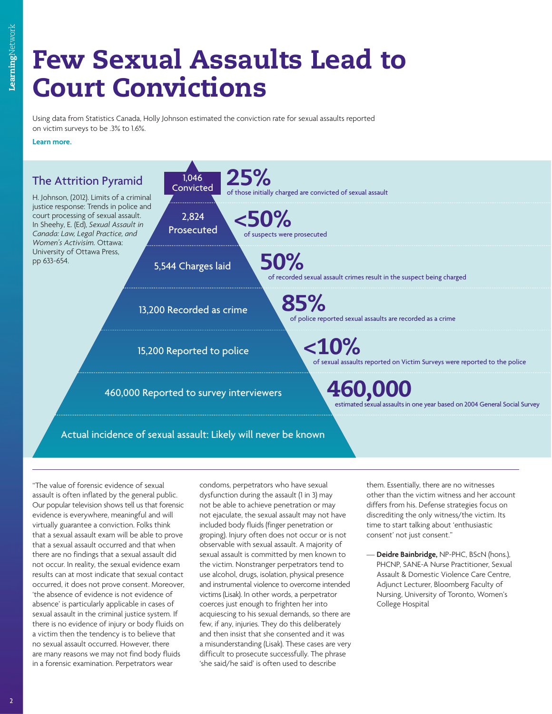# **Few Sexual Assaults Lead to Court Convictions**

Using data from Statistics Canada, Holly Johnson estimated the conviction rate for sexual assaults reported on victim surveys to be .3% to 1.6%.

**[Learn more.](http://www.ruor.uottawa.ca/fr/bitstream/handle/10393/19876/21-Johnson--Limits_of_a_Criminal_Justice_Response.pdf?sequence=32)**



"The value of forensic evidence of sexual assault is often inflated by the general public. Our popular television shows tell us that forensic evidence is everywhere, meaningful and will virtually guarantee a conviction. Folks think that a sexual assault exam will be able to prove that a sexual assault occurred and that when there are no findings that a sexual assault did not occur. In reality, the sexual evidence exam results can at most indicate that sexual contact occurred, it does not prove consent. Moreover, 'the absence of evidence is not evidence of absence' is particularly applicable in cases of sexual assault in the criminal justice system. If there is no evidence of injury or body fluids on a victim then the tendency is to believe that no sexual assault occurred. However, there are many reasons we may not find body fluids in a forensic examination. Perpetrators wear

condoms, perpetrators who have sexual dysfunction during the assault (1 in 3) may not be able to achieve penetration or may not ejaculate, the sexual assault may not have included body fluids (finger penetration or groping). Injury often does not occur or is not observable with sexual assault. A majority of sexual assault is committed by men known to the victim. Nonstranger perpetrators tend to use alcohol, drugs, isolation, physical presence and instrumental violence to overcome intended victims (Lisak). In other words, a perpetrator coerces just enough to frighten her into acquiescing to his sexual demands, so there are few, if any, injuries. They do this deliberately and then insist that she consented and it was a misunderstanding (Lisak). These cases are very difficult to prosecute successfully. The phrase 'she said/he said' is often used to describe

them. Essentially, there are no witnesses other than the victim witness and her account differs from his. Defense strategies focus on discrediting the only witness/the victim. Its time to start talking about 'enthusiastic consent' not just consent."

— **Deidre Bainbridge,** NP-PHC, BScN (hons.), PHCNP, SANE-A Nurse Practitioner, Sexual Assault & Domestic Violence Care Centre, Adjunct Lecturer, Bloomberg Faculty of Nursing, University of Toronto, Women's College Hospital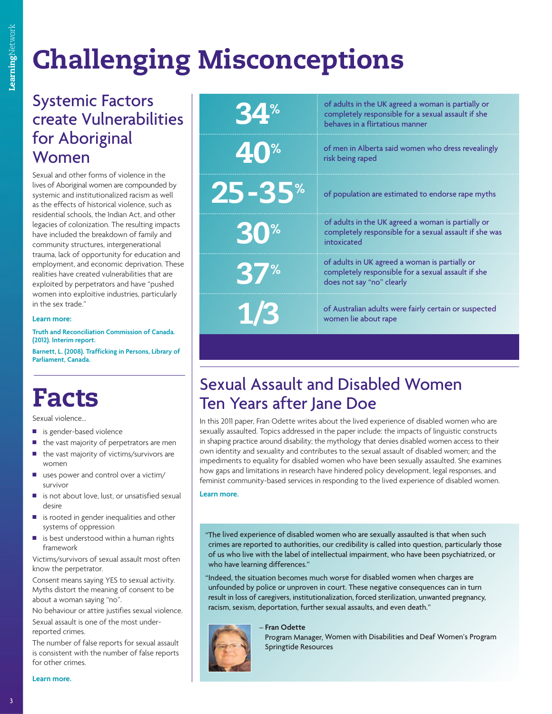# **Challenging Misconceptions**

## Systemic Factors create Vulnerabilities for Aboriginal Women

Sexual and other forms of violence in the lives of Aboriginal women are compounded by systemic and institutionalized racism as well as the effects of historical violence, such as residential schools, the Indian Act, and other legacies of colonization. The resulting impacts have included the breakdown of family and community structures, intergenerational trauma, lack of opportunity for education and employment, and economic deprivation. These realities have created vulnerabilities that are exploited by perpetrators and have "pushed women into exploitive industries, particularly in the sex trade."

#### **Learn more:**

**[Truth and Reconciliation Commission of Canada.](http://www.attendancemarketing.com/~attmk/TRC_jd/Interim_report_English_electronic_copy.pdf) (2012). Interim report. [Barnett, L. \(2008\). Trafficking in Persons, Library of](http://www.parl.gc.ca/Content/LOP/ResearchPublications/prb0624-e.pdf) Parliament, Canada.**

# **Facts**

Sexual violence…

- is gender-based violence
- the vast majority of perpetrators are men
- $\blacksquare$  the vast majority of victims/survivors are women
- $\blacksquare$  uses power and control over a victim/ survivor
- is not about love, lust, or unsatisfied sexual desire
- $\blacksquare$  is rooted in gender inequalities and other systems of oppression
- is best understood within a human rights framework

Victims/survivors of sexual assault most often know the perpetrator.

Consent means saying YES to sexual activity. Myths distort the meaning of consent to be about a woman saying "no".

No behaviour or attire justifies sexual violence.

Sexual assault is one of the most underreported crimes.

The number of false reports for sexual assault is consistent with the number of false reports for other crimes.

| 34%                   | of adults in the UK agreed a woman is partially or<br>completely responsible for a sexual assault if she<br>behaves in a flirtatious manner |
|-----------------------|---------------------------------------------------------------------------------------------------------------------------------------------|
| 40%                   | of men in Alberta said women who dress revealingly<br>risk being raped                                                                      |
| <b>25-35*</b>         | of population are estimated to endorse rape myths                                                                                           |
| <b>30<sup>%</sup></b> | of adults in the UK agreed a woman is partially or<br>completely responsible for a sexual assault if she was<br>intoxicated                 |
| <b>37%</b>            | of adults in UK agreed a woman is partially or<br>completely responsible for a sexual assault if she<br>does not say "no" clearly           |
| 1/3                   | of Australian adults were fairly certain or suspected<br>women lie about rape                                                               |

## Sexual Assault and Disabled Women Ten Years after Jane Doe

In this 2011 paper, Fran Odette writes about the lived experience of disabled women who are sexually assaulted. Topics addressed in the paper include: the impacts of linguistic constructs in shaping practice around disability; the mythology that denies disabled women access to their own identity and sexuality and contributes to the sexual assault of disabled women; and the impediments to equality for disabled women who have been sexually assaulted. She examines how gaps and limitations in research have hindered policy development, legal responses, and feminist community-based services in responding to the lived experience of disabled women.

**[Learn more.](http://www.ruor.uottawa.ca/en/bitstream/handle/10393/19876/07-Odette--Sexual_Assault_and_Disabled_Women_Ten_Years_after_Jane_Doe.pdf?sequence=18)**

"The lived experience of disabled women who are sexually assaulted is that when such crimes are reported to authorities, our credibility is called into question, particularly those of us who live with the label of intellectual impairment, who have been psychiatrized, or who have learning differences."

"Indeed, the situation becomes much worse for disabled women when charges are unfounded by police or unproven in court. These negative consequences can in turn result in loss of caregivers, institutionalization, forced sterilization, unwanted pregnancy, racism, sexism, deportation, further sexual assaults, and even death."

Springtide Resources



 **Fran Odette** Program Manager, Women with Disabilities and Deaf Women's Program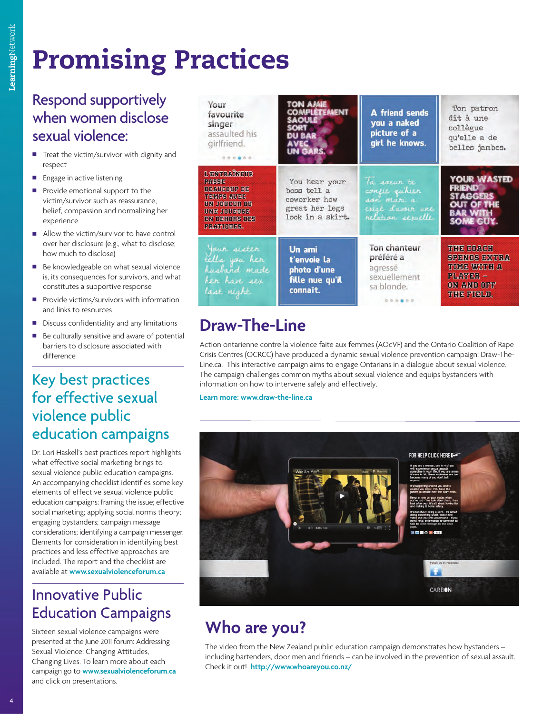# **Promising Practices**

### Respond supportively when women disclose sexual violence:

- $\blacksquare$  Treat the victim/survivor with dignity and respect
- **Engage in active listening**
- Provide emotional support to the victim/survivor such as reassurance, belief, compassion and normalizing her experience
- $\blacksquare$  Allow the victim/survivor to have control over her disclosure (e.g., what to disclose; how much to disclose)
- Be knowledgeable on what sexual violence is, its consequences for survivors, and what constitutes a supportive response
- $\blacksquare$  Provide victims/survivors with information and links to resources
- $\blacksquare$  Discuss confidentiality and any limitations
- $\blacksquare$  Be culturally sensitive and aware of potential barriers to disclosure associated with difference

## Key best practices for effective sexual violence public education campaigns

Dr. Lori Haskell's best practices report highlights what effective social marketing brings to sexual violence public education campaigns. An accompanying checklist identifies some key elements of effective sexual violence public education campaigns: framing the issue; effective social marketing; applying social norms theory; engaging bystanders; campaign message considerations; identifying a campaign messenger. Elements for consideration in identifying best practices and less effective approaches are included. The report and the checklist are available at **<www.sexualviolenceforum.ca>**

## Innovative Public Education Campaigns

Sixteen sexual violence campaigns were presented at the June 2011 forum: Addressing Sexual Violence: Changing Attitudes, Changing Lives. To learn more about each campaign go to **<www.sexualviolenceforum.ca>** and click on presentations.

| Your<br>favourite<br>singer<br>assaulted his<br>girlfriend.<br>0.0.0.0.0.0                                                                   | <b>TON AME</b><br><b>COMPLETE MENT</b><br><b>SAQUE</b><br>SORT<br><b>DU RAR</b><br>AVEC<br>UN GARS. | A friend sends<br>you a naked<br>picture of a<br>girl he knows.                      | Ton patron<br>dit à une<br>collègue<br>qu'elle a de<br>belles jambes.                          |
|----------------------------------------------------------------------------------------------------------------------------------------------|-----------------------------------------------------------------------------------------------------|--------------------------------------------------------------------------------------|------------------------------------------------------------------------------------------------|
| L'ENTRAÏNEUR<br><b>PASSE</b><br><b>BEAUCOUP DE</b><br><b>TEMPS AWEC</b><br>DN JODEUR OD<br><b>UNE JOURISE</b><br>EN DEHORS DES<br>PRATIOUES. | You hear your<br>boss tell a<br>coworker how<br>great her legs<br>look in a skirt.                  | Ta soeur te<br>confie quhier<br>son mari a<br>exist d'avoir une<br>relation sexuelle | YOUR WASTED<br>FRIEND<br><b>STAGGERS</b><br>IT OF THE<br>SOME GUY.                             |
| four sister<br>tells you her<br>husband made<br>her have sex<br>last night                                                                   | Un ami<br>t'envoie la<br>photo d'une<br>fille nue qu'il<br>connaît.                                 | Ton chanteur<br>préféré a<br>agressé<br>sexuellement<br>sa blonde.                   | THE COACH<br><b>SPENDS EXTRA</b><br>TIME WITH A<br><b>PLAYER -</b><br>ON AND OFF<br>THE FIELD. |

# **Draw-The-Line**

Action ontarienne contre la violence faite aux femmes (AOcVF) and the Ontario Coalition of Rape Crisis Centres (OCRCC) have produced a dynamic sexual violence prevention campaign: Draw-The-Line.ca. This interactive campaign aims to engage Ontarians in a dialogue about sexual violence. The campaign challenges common myths about sexual violence and equips bystanders with information on how to intervene safely and effectively.

**[Learn more: www.draw-the-line.ca](http://www.draw-the-line.ca/)**



# **Who are you?**

The video from the New Zealand public education campaign demonstrates how bystanders – including bartenders, door men and friends – can be involved in the prevention of sexual assault. Check it out! **[http://www.whoareyou.co.nz/](www.whoareyou.co.nz/)**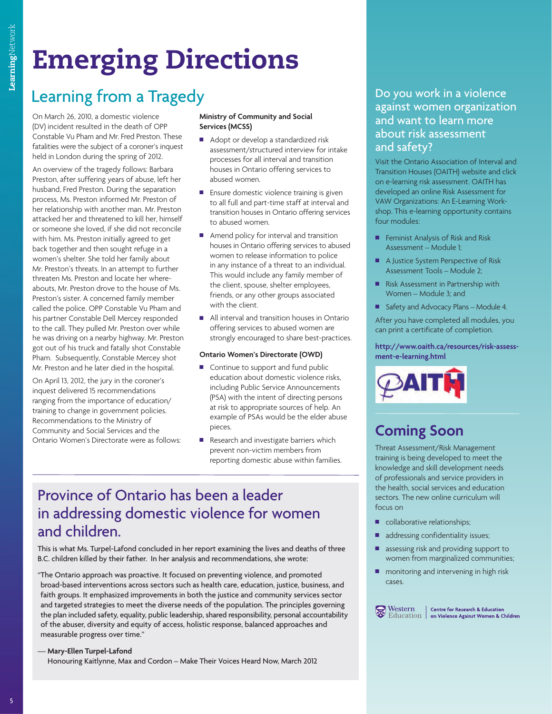# **Emerging Directions**

## Learning from a Tragedy

On March 26, 2010, a domestic violence (DV) incident resulted in the death of OPP Constable Vu Pham and Mr. Fred Preston. These fatalities were the subject of a coroner's inquest held in London during the spring of 2012.

An overview of the tragedy follows: Barbara Preston, after suffering years of abuse, left her husband, Fred Preston. During the separation process, Ms. Preston informed Mr. Preston of her relationship with another man. Mr. Preston attacked her and threatened to kill her, himself or someone she loved, if she did not reconcile with him. Ms. Preston initially agreed to get back together and then sought refuge in a women's shelter. She told her family about Mr. Preston's threats. In an attempt to further threaten Ms. Preston and locate her whereabouts, Mr. Preston drove to the house of Ms. Preston's sister. A concerned family member called the police. OPP Constable Vu Pham and his partner Constable Dell Mercey responded to the call. They pulled Mr. Preston over while he was driving on a nearby highway. Mr. Preston got out of his truck and fatally shot Constable Pham. Subsequently, Constable Mercey shot Mr. Preston and he later died in the hospital.

On April 13, 2012, the jury in the coroner's inquest delivered 15 recommendations ranging from the importance of education/ training to change in government policies. Recommendations to the Ministry of Community and Social Services and the Ontario Women's Directorate were as follows:

#### **Ministry of Community and Social Services (MCSS)**

- Adopt or develop a standardized risk assessment/structured interview for intake processes for all interval and transition houses in Ontario offering services to abused women.
- $\blacksquare$  Ensure domestic violence training is given to all full and part-time staff at interval and transition houses in Ontario offering services to abused women.
- $\blacksquare$  Amend policy for interval and transition houses in Ontario offering services to abused women to release information to police in any instance of a threat to an individual. This would include any family member of the client, spouse, shelter employees, friends, or any other groups associated with the client.
- All interval and transition houses in Ontario offering services to abused women are strongly encouraged to share best-practices.

#### **Ontario Women's Directorate (OWD)**

- $\blacksquare$  Continue to support and fund public education about domestic violence risks, including Public Service Announcements (PSA) with the intent of directing persons at risk to appropriate sources of help. An example of PSAs would be the elder abuse pieces.
- Research and investigate barriers which prevent non-victim members from reporting domestic abuse within families.

### Province of Ontario has been a leader in addressing domestic violence for women and children.

This is what Ms. Turpel-Lafond concluded in her report examining the lives and deaths of three B.C. children killed by their father. In her analysis and recommendations, she wrote:

"The Ontario approach was proactive. It focused on preventing violence, and promoted broad-based interventions across sectors such as health care, education, justice, business, and faith groups. It emphasized improvements in both the justice and community services sector and targeted strategies to meet the diverse needs of the population. The principles governing the plan included safety, equality, public leadership, shared responsibility, personal accountability of the abuser, diversity and equity of access, holistic response, balanced approaches and measurable progress over time."

#### — **Mary-Ellen Turpel-Lafond**

Honouring Kaitlynne, Max and Cordon – Make Their Voices Heard Now, March 2012

#### Do you work in a violence against women organization and want to learn more about risk assessment and safety?

Visit the Ontario Association of Interval and Transition Houses (OAITH) website and click on e-learning risk assessment. OAITH has developed an online Risk Assessment for VAW Organizations: An E-Learning Workshop. This e-learning opportunity contains four modules:

- **Feminist Analysis of Risk and Risk** Assessment – Module 1;
- A Justice System Perspective of Risk Assessment Tools – Module 2;
- Risk Assessment in Partnership with Women – Module 3; and
- Safety and Advocacy Plans Module 4.

After you have completed all modules, you can print a certificate of completion.

**http://www.oaith.ca/resources/risk-assessment-e-learning.html**



### **Coming Soon**

Threat Assessment/Risk Management training is being developed to meet the knowledge and skill development needs of professionals and service providers in the health, social services and education sectors. The new online curriculum will focus on

- collaborative relationships;
- addressing confidentiality issues;
- assessing risk and providing support to women from marginalized communities;
- monitoring and intervening in high risk cases.



Western | Centre for Research & Education<br>Education | on Violence Against Women & Children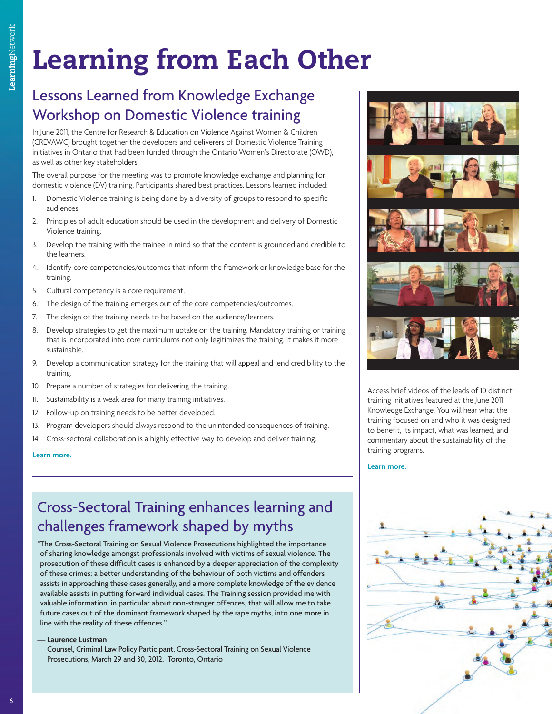# **Learning from Each Other**

## Lessons Learned from Knowledge Exchange Workshop on Domestic Violence training

In June 2011, the Centre for Research & Education on Violence Against Women & Children (CREVAWC) brought together the developers and deliverers of Domestic Violence Training initiatives in Ontario that had been funded through the Ontario Women's Directorate (OWD), as well as other key stakeholders.

The overall purpose for the meeting was to promote knowledge exchange and planning for domestic violence (DV) training. Participants shared best practices. Lessons learned included:

- 1. Domestic Violence training is being done by a diversity of groups to respond to specific audiences.
- 2. Principles of adult education should be used in the development and delivery of Domestic Violence training.
- 3. Develop the training with the trainee in mind so that the content is grounded and credible to the learners.
- 4. Identify core competencies/outcomes that inform the framework or knowledge base for the training.
- 5. Cultural competency is a core requirement.
- 6. The design of the training emerges out of the core competencies/outcomes.
- 7. The design of the training needs to be based on the audience/learners.
- 8. Develop strategies to get the maximum uptake on the training. Mandatory training or training that is incorporated into core curriculums not only legitimizes the training, it makes it more sustainable.
- 9. Develop a communication strategy for the training that will appeal and lend credibility to the training.
- 10. Prepare a number of strategies for delivering the training.
- 11. Sustainability is a weak area for many training initiatives.
- 12. Follow-up on training needs to be better developed.
- 13. Program developers should always respond to the unintended consequences of training.
- 14. Cross-sectoral collaboration is a highly effective way to develop and deliver training.

#### **[Learn more.](www.crvawc.ca/documents/Knowledge%20Exchange%20Report_FINAL.pdf)**

## Cross-Sectoral Training enhances learning and challenges framework shaped by myths

"The Cross-Sectoral Training on Sexual Violence Prosecutions highlighted the importance of sharing knowledge amongst professionals involved with victims of sexual violence. The prosecution of these difficult cases is enhanced by a deeper appreciation of the complexity of these crimes; a better understanding of the behaviour of both victims and offenders assists in approaching these cases generally, and a more complete knowledge of the evidence available assists in putting forward individual cases. The Training session provided me with valuable information, in particular about non-stranger offences, that will allow me to take future cases out of the dominant framework shaped by the rape myths, into one more in line with the reality of these offences."

#### — **Laurence Lustman**

Counsel, Criminal Law Policy Participant, Cross-Sectoral Training on Sexual Violence Prosecutions, March 29 and 30, 2012, Toronto, Ontario



Access brief videos of the leads of 10 distinct training initiatives featured at the June 2011 Knowledge Exchange. You will hear what the training focused on and who it was designed to benefit, its impact, what was learned, and commentary about the sustainability of the training programs.

#### **[Learn more.](www.youtube.com/playlist?list=PL31D0C40781CDAF67)**

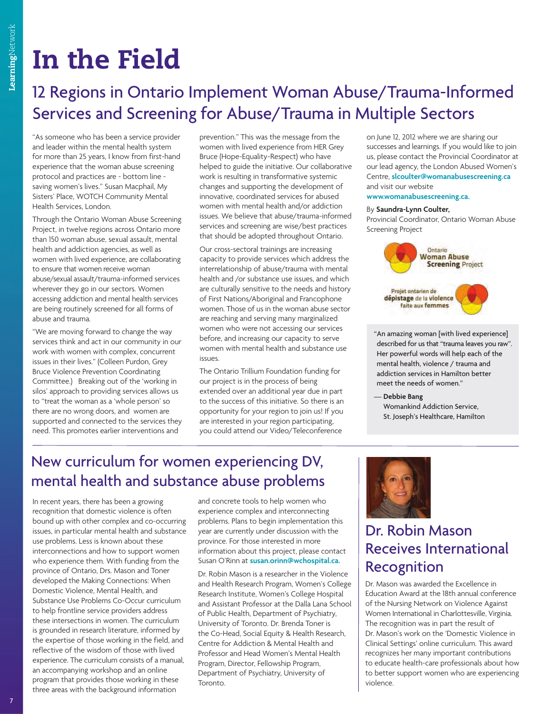# **In the Field**

# 12 Regions in Ontario Implement Woman Abuse/Trauma-Informed Services and Screening for Abuse/Trauma in Multiple Sectors

"As someone who has been a service provider and leader within the mental health system for more than 25 years, I know from first-hand experience that the woman abuse screening protocol and practices are - bottom line saving women's lives." Susan Macphail, My Sisters' Place, WOTCH Community Mental Health Services, London.

Through the Ontario Woman Abuse Screening Project, in twelve regions across Ontario more than 150 woman abuse, sexual assault, mental health and addiction agencies, as well as women with lived experience, are collaborating to ensure that women receive woman abuse/sexual assault/trauma-informed services wherever they go in our sectors. Women accessing addiction and mental health services are being routinely screened for all forms of abuse and trauma.

"We are moving forward to change the way services think and act in our community in our work with women with complex, concurrent issues in their lives." (Colleen Purdon, Grey Bruce Violence Prevention Coordinating Committee.) Breaking out of the 'working in silos' approach to providing services allows us to "treat the woman as a 'whole person' so there are no wrong doors, and women are supported and connected to the services they need. This promotes earlier interventions and

prevention." This was the message from the women with lived experience from HER Grey Bruce (Hope-Equality~Respect) who have helped to guide the initiative. Our collaborative work is resulting in transformative systemic changes and supporting the development of innovative, coordinated services for abused women with mental health and/or addiction issues. We believe that abuse/trauma-informed services and screening are wise/best practices that should be adopted throughout Ontario.

Our cross-sectoral trainings are increasing capacity to provide services which address the interrelationship of abuse/trauma with mental health and /or substance use issues, and which are culturally sensitive to the needs and history of First Nations/Aboriginal and Francophone women. Those of us in the woman abuse sector are reaching and serving many marginalized women who were not accessing our services before, and increasing our capacity to serve women with mental health and substance use issues.

The Ontario Trillium Foundation funding for our project is in the process of being extended over an additional year due in part to the success of this initiative. So there is an opportunity for your region to join us! If you are interested in your region participating, you could attend our Video/Teleconference

on June 12, 2012 where we are sharing our successes and learnings. If you would like to join us, please contact the Provincial Coordinator at our lead agency, the London Abused Women's Centre, **slcoulter@womanabusescreening.ca** and visit our website **www.womanabusescreening.ca.**

#### By **Saundra-Lynn Coulter,**

Provincial Coordinator, Ontario Woman Abuse Screening Project



"An amazing woman [with lived experience] described for us that "trauma leaves you raw". Her powerful words will help each of the mental health, violence / trauma and addiction services in Hamilton better meet the needs of women."

— **Debbie Bang** Womankind Addiction Service, St. Joseph's Healthcare, Hamilton

## New curriculum for women experiencing DV, mental health and substance abuse problems

In recent years, there has been a growing recognition that domestic violence is often bound up with other complex and co-occurring issues, in particular mental health and substance use problems. Less is known about these interconnections and how to support women who experience them. With funding from the province of Ontario, Drs. Mason and Toner developed the Making Connections: When Domestic Violence, Mental Health, and Substance Use Problems Co-Occur curriculum to help frontline service providers address these intersections in women. The curriculum is grounded in research literature, informed by the expertise of those working in the field, and reflective of the wisdom of those with lived experience. The curriculum consists of a manual, an accompanying workshop and an online program that provides those working in these three areas with the background information

and concrete tools to help women who experience complex and interconnecting problems. Plans to begin implementation this year are currently under discussion with the province. For those interested in more information about this project, please contact Susan O'Rinn at **susan.orinn@wchospital.ca.**

Dr. Robin Mason is a researcher in the Violence and Health Research Program, Women's College Research Institute, Women's College Hospital and Assistant Professor at the Dalla Lana School of Public Health, Department of Psychiatry, University of Toronto. Dr. Brenda Toner is the Co-Head, Social Equity & Health Research, Centre for Addiction & Mental Health and Professor and Head Women's Mental Health Program, Director, Fellowship Program, Department of Psychiatry, University of Toronto.



## Dr. Robin Mason Receives International Recognition

Dr. Mason was awarded the Excellence in Education Award at the 18th annual conference of the Nursing Network on Violence Against Women International in Charlottesville, Virginia. The recognition was in part the result of Dr. Mason's work on the 'Domestic Violence in Clinical Settings' online curriculum. This award recognizes her many important contributions to educate health-care professionals about how to better support women who are experiencing violence.